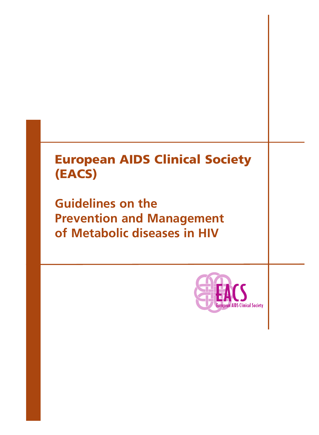### **European AIDS Clinical Society (EACS)**

**Guidelines on the Prevention and Management of Metabolic diseases in HIV**

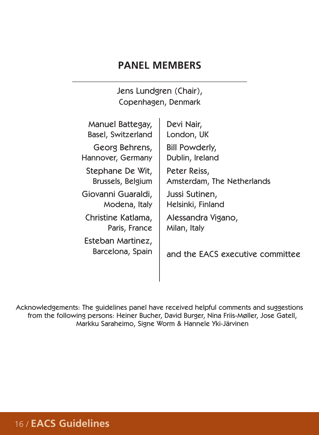### **PANEL MEMBERS**

Jens Lundgren (Chair), Copenhagen, Denmark  $\mathbf{r}$ 

| Manuel Battegay,                      | Devi Nair,                       |
|---------------------------------------|----------------------------------|
| Basel, Switzerland                    | London, UK                       |
| Georg Behrens,                        | Bill Powderly,                   |
| Hannover, Germany                     | Dublin, Ireland                  |
| Stephane De Wit,                      | Peter Reiss,                     |
| Brussels, Belgium                     | Amsterdam, The Netherlands       |
| Giovanni Guaraldi,                    | Jussi Sutinen,                   |
| Modena, Italy                         | Helsinki, Finland                |
| Christine Katlama,                    | Alessandra Vigano,               |
| Paris, France                         | Milan, Italy                     |
| Esteban Martinez,<br>Barcelona, Spain | and the EACS executive committee |

Acknowledgements: The guidelines panel have received helpful comments and suggestions from the following persons: Heiner Bucher, David Burger, Nina Friis-Møller, Jose Gatell, Markku Saraheimo, Signe Worm & Hannele Yki-Järvinen

### 16 / **EACS Guidelines**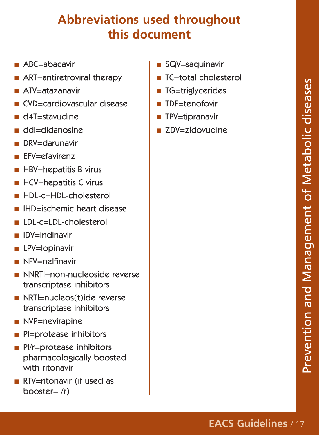## **Abbreviations used throughout this document**

- ABC=abacavir
- ART=antiretroviral therapy
- ATV=atazanavir
- CVD=cardiovascular disease
- d4T=stavudine
- ddI=didanosine
- DRV=darunavir
- EFV=efavirenz
- HBV=hepatitis B virus
- HCV=hepatitis C virus
- HDL-c=HDL-cholesterol
- IHD=ischemic heart disease
- LDL-c=LDL-cholesterol
- **IDV=indinavir**
- LPV=lopinavir
- NFV=nelfinavir
- NNRTI=non-nucleoside reverse transcriptase inhibitors
- NRTI=nucleos(t)ide reverse transcriptase inhibitors
- NVP=nevirapine
- PI=protease inhibitors
- Pl/r=protease inhibitors pharmacologically boosted with ritonavir
- RTV=ritonavir (if used as booster= /r)
- SQV=saquinavir
- TC=total cholesterol
- TG=triglycerides
- TDF=tenofovir
- TPV=tipranavir
- ZDV=zidovudine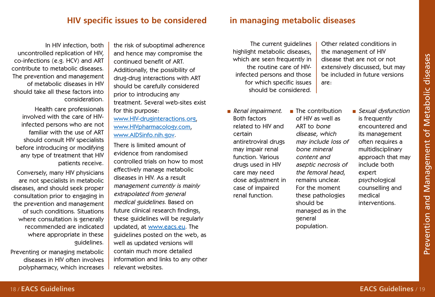### **HIV specific issues to be considered in managing metabolic diseases**

In HIV infection, both uncontrolled replication of HIV, co-infections (e.g. HCV) and ART contribute to metabolic diseases. The prevention and management of metabolic diseases in HIV should take all these factors into consideration.

Health care professionals involved with the care of HIVinfected persons who are not familiar with the use of ART should consult HIV specialists before introducing or modifying any type of treatment that HIV patients receive.

Conversely, many HIV physicians are not specialists in metabolic diseases, and should seek proper consultation prior to engaging in the prevention and management of such conditions. Situations where consultation is generally recommended are indicated where appropriate in these guidelines.

Preventing or managing metabolic diseases in HIV often involves polypharmacy, which increases

the risk of suboptimal adherence and hence may compromise the continued benefit of ART. Additionally, the possibility of drug-drug interactions with ART should be carefully considered prior to introducing any treatment. Several web-sites exist for this purpose:

[www.HIV-druginteractions.org,](http://www.hiv-druginteractions.org/) [www.HIVpharmacology.com,](http://www.hivpharmacology.com/) [www.AIDSinfo.nih.gov.](http://www.aidsinfo.nih.gov/)

There is limited amount of evidence from randomised controlled trials on how to most effectively manage metabolic diseases in HIV. As a result management currently is mainly extrapolated from general medical guidelines. Based on future clinical research findings, these guidelines will be regularly updated, at [www.eacs.eu](http://www.eacs.eu/). The guidelines posted on the web, as well as updated versions will contain much more detailed information and links to any other relevant websites.

The current guidelines highlight metabolic diseases, which are seen frequently in the routine care of HIVinfected persons and those for which specific issues should be considered. Other related conditions in the management of HIV disease that are not or not extensively discussed, but may be included in future versions are:

- Renal impairment. Both factors related to HIV and certain antiretroviral drugs may impair renal function. Various drugs used in HIV care may need dose adjustment in case of impaired renal function.
- The contribution of HIV as well as ART to bone disease, which may include loss of bone mineral content and aseptic necrosis of the femoral head, remains unclear. For the moment these pathologies should be managed as in the general population.

■ Sexual dysfunction is frequently encountered and its management often requires a multidisciplinary approach that may include both expert psychological counselling and medical interventions.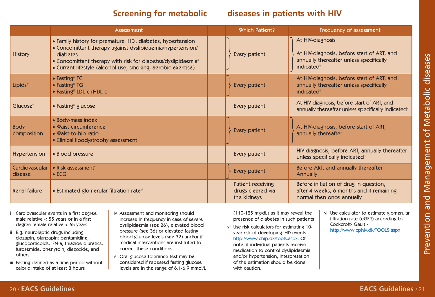### **Screening for metabolic diseases in patients with HIV**

|                            | Assessment                                                                                                                                                                                                                                                                                     | <b>Which Patient?</b>                                 | Frequency of assessment                                                                                                             |
|----------------------------|------------------------------------------------------------------------------------------------------------------------------------------------------------------------------------------------------------------------------------------------------------------------------------------------|-------------------------------------------------------|-------------------------------------------------------------------------------------------------------------------------------------|
| <b>History</b>             | • Family history for premature IHD <sup>'</sup> , diabetes, hypertension<br>• Concomittant therapy against dyslipidaemia/hypertension/<br>diabetes<br>• Concomittant therapy with risk for diabetes/dyslipidaemia <sup>®</sup><br>• Current lifestyle (alcohol use, smoking, aerobic exercise) | Every patient                                         | At HIV-diagnosis<br>At HIV-diagnosis, before start of ART, and<br>annually thereafter unless specifically<br>indicated <sup>"</sup> |
| Lipids <sup>iv</sup>       | $\bullet$ Fasting <sup>ii</sup> TC<br>• Fasting" TG<br>• Fasting" LDL-c+HDL-c                                                                                                                                                                                                                  | Every patient                                         | At HIV-diagnosis, before start of ART, and<br>annually thereafter unless specifically<br>indicated <sup>*</sup>                     |
| Glucose <sup>v</sup>       | • Fasting" glucose                                                                                                                                                                                                                                                                             | Every patient                                         | At HIV-diagnosis, before start of ART, and<br>annually thereafter unless specifically indicated <sup>®</sup>                        |
| <b>Body</b><br>composition | • Body-mass index<br>• Waist circumference<br>• Waist-to-hip ratio<br>• Clinical lipodystrophy assessment                                                                                                                                                                                      | Every patient                                         | At HIV-diagnosis, before start of ART,<br>annually thereafter                                                                       |
| <b>Hypertension</b>        | • Blood pressure                                                                                                                                                                                                                                                                               | Every patient                                         | HIV-diagnosis, before ART, annually thereafter<br>unless specifically indicated <sup>"</sup>                                        |
| Cardiovascular<br>disease  | • Risk assessment <sup>vi</sup><br>$\bullet$ ECG                                                                                                                                                                                                                                               | Every patient                                         | Before ART, and annually thereafter<br><b>Annually</b>                                                                              |
| Renal failure              | • Estimated glomerular filtration ratevii                                                                                                                                                                                                                                                      | Patient receiving<br>drugs cleared via<br>the kidneys | Before initiation of drug in question,<br>after 4 weeks, 6 months and if remaining<br>normal then once annually                     |

- i Cardiovascular events in a first degree male relative < 55 years or in a first degree female relative < 65 years.
- ii E.g. neuroleptic drugs including clozapin, olanzapin; pentamidine, glucocorticoids, IFN-a, thiazide diuretics, furosemide, phenytoin, diazoxide, and others.
- iii Fasting defined as a time period without caloric intake of at least 8 hours
- iv Assessment and monitoring should increase in frequency in case of severe dyslipidaemia (see 26), elevated blood pressure (see 36) or elevated fasting blood glucose levels (see 32) and/or if medical interventions are instituted to correct these conditions.
- v Oral glucose tolerance test may be considered if repeated fasting glucose levels are in the range of 6.1-6.9 mmol/L

(110-125 mg/dL) as it may reveal the presence of diabetes in such patients

vi Use risk calculators for estimating 10 year risk of developing IHD events [http://www.chip.dk/tools.aspx.](http://www.chip.dk/tools.aspx) Of note, if individual patients receive medication to control dyslipidaemia and/or hypertension, interpretation of the estimation should be done with caution.

vii Use calculator to estimate glomerular filtration rate (eGFR) according to Cockcroft- Gault <http://www.cphiv.dk/TOOLS.aspx>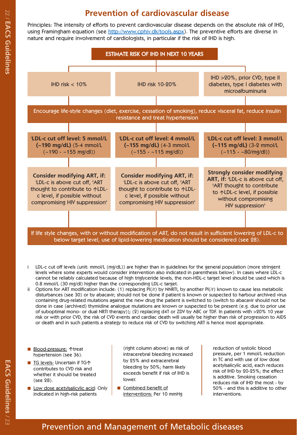

- 
- 
- 
- 
-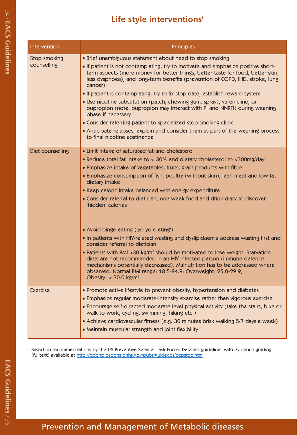| Intervention                | <b>Principles</b>                                                                                                                                                                                                                                                                                                                                                                                                                                                                                                                                                                          |
|-----------------------------|--------------------------------------------------------------------------------------------------------------------------------------------------------------------------------------------------------------------------------------------------------------------------------------------------------------------------------------------------------------------------------------------------------------------------------------------------------------------------------------------------------------------------------------------------------------------------------------------|
| Stop smoking<br>counselling | • Brief unambiguous statement about need to stop smoking<br>• If patient is not contemplating, try to motivate and emphasize positive short-<br>term aspects (more money for better things, better taste for food, better skin,<br>less dyspnoea), and long-term benefits (prevention of COPD, IHD, stroke, lung<br>cancer)<br>• If patient is contemplating, try to fix stop date, establish reward system<br>. Use nicotine substitution (patch, chewing gum, spray), varenicline, or<br>bupropion (note: bupropion may interact with PI and NNRTI) during weaning<br>phase if necessary |
|                             | • Consider referring patient to specialized stop smoking clinic                                                                                                                                                                                                                                                                                                                                                                                                                                                                                                                            |
|                             | • Anticipate relapses, explain and consider them as part of the weaning process<br>to final nicotine abstinence                                                                                                                                                                                                                                                                                                                                                                                                                                                                            |
| Diet counselling            | • Limit intake of saturated fat and cholesterol                                                                                                                                                                                                                                                                                                                                                                                                                                                                                                                                            |
|                             | • Reduce total fat intake to < 30% and dietary cholesterol to <300mg/day                                                                                                                                                                                                                                                                                                                                                                                                                                                                                                                   |
|                             | • Emphasize intake of vegetables, fruits, grain products with fibre                                                                                                                                                                                                                                                                                                                                                                                                                                                                                                                        |
|                             | . Emphasize consumption of fish, poultry (without skin), lean meat and low fat<br>dietary intake                                                                                                                                                                                                                                                                                                                                                                                                                                                                                           |
|                             | • Keep caloric intake balanced with energy expenditure                                                                                                                                                                                                                                                                                                                                                                                                                                                                                                                                     |
|                             | • Consider referral to dietician, one week food and drink diary to discover<br>'hidden' calories                                                                                                                                                                                                                                                                                                                                                                                                                                                                                           |
|                             | • Avoid binge eating ('yo-yo dieting')                                                                                                                                                                                                                                                                                                                                                                                                                                                                                                                                                     |
|                             | . In patients with HIV-related wasting and dyslipidaemia address wasting first and<br>consider referral to dietician                                                                                                                                                                                                                                                                                                                                                                                                                                                                       |
|                             | • Patients with BMI > 30 kg/m <sup>2</sup> should be motivated to lose weight. Starvation<br>diets are not recommended in an HIV-infected person (immune defence<br>mechanisms potentially decreased). Malnutrition has to be addressed where<br>observed. Normal BMI range: 18.5-24.9; Overweight: 25.0-29.9,<br>Obesity: $>$ 30.0 kg/m <sup>2</sup>                                                                                                                                                                                                                                      |
| Exercise                    | • Promote active lifestyle to prevent obesity, hypertension and diabetes                                                                                                                                                                                                                                                                                                                                                                                                                                                                                                                   |
|                             | • Emphasize regular moderate-intensity exercise rather than vigorous exercise<br>• Encourage self-directed moderate level physical activity (take the stairs, bike or                                                                                                                                                                                                                                                                                                                                                                                                                      |
|                             | walk to work, cycling, swimming, hiking etc.)                                                                                                                                                                                                                                                                                                                                                                                                                                                                                                                                              |
|                             | • Achieve cardiovascular fitness (e.g. 30 minutes brisk walking 5/7 days a week)                                                                                                                                                                                                                                                                                                                                                                                                                                                                                                           |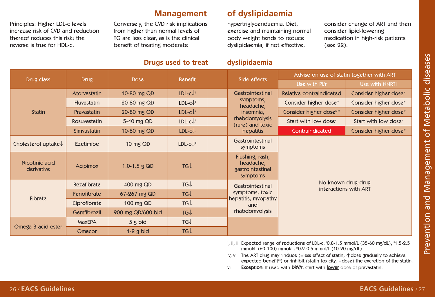Principles: Higher LDL-c levels increase risk of CVD and reduction thereof reduces this risk; the reverse is true for HDL-c.

Conversely, the CVD risk implications from higher than normal levels of TG are less clear, as is the clinical benefit of treating moderate

### **Drugs used to treat dyslipidaemia**

## **Management of dyslipidaemia**

hypertriglyceridaemia. Diet, exercise and maintaining normal body weight tends to reduce dyslipidaemia; if not effective,

consider change of ART and then consider lipid-lowering medication in high-risk patients (see 22).

| Drug class                      |                    | <b>Dose</b>       | <b>Benefit</b>         |  | Side effects                                                 | Advise on use of statin together with ART |                                   |  |
|---------------------------------|--------------------|-------------------|------------------------|--|--------------------------------------------------------------|-------------------------------------------|-----------------------------------|--|
|                                 | <b>Drug</b>        |                   |                        |  |                                                              | Use with Pl/r                             | Use with NNRTI                    |  |
|                                 | Atorvastatin       | 10-80 mg QD       | $LDL-cJ^*$             |  | Gastrointestinal                                             | Relative contraindicated                  | Consider higher dose <sup>®</sup> |  |
|                                 | <b>Fluvastatin</b> | 20-80 mg QD       | $LDL-c+$               |  | symptoms,<br>headache,                                       | Consider higher dose <sup>"</sup>         | Consider higher dose <sup>"</sup> |  |
| <b>Statin</b>                   | Pravastatin        | 20-80 mg QD       | $LDL-cJ^+$             |  | insomnia,                                                    | Consider higher dose <sup>1441</sup>      | Consider higher dose <sup>®</sup> |  |
|                                 | Rosuvastatin       | 5-40 mg QD        | $LDL-cL^{\text{ii}}$   |  | rhabdomyolysis<br>(rare) and toxic                           | Start with low dose <sup>v</sup>          | Start with low dose <sup>v</sup>  |  |
|                                 | Simvastatin        | 10-80 mg QD       | $LDL-cL$               |  | hepatitis                                                    | Contraindicated                           | Consider higher dose <sup>"</sup> |  |
| Cholesterol uptake $\downarrow$ | <b>Ezetimibe</b>   | 10 mg QD          | $LDL-c$ <sup>iii</sup> |  | Gastrointestinal<br>symptoms                                 |                                           |                                   |  |
| Nicotinic acid<br>derivative    | <b>Acipimox</b>    | 1.0-1.5 $g$ QD    | TGJ                    |  | Flushing, rash,<br>headache,<br>gastrointestinal<br>symptoms |                                           |                                   |  |
|                                 | <b>Bezafibrate</b> | 400 mg QD         | $TG\downarrow$         |  | Gastrointestinal                                             | interactions with ART                     | No known drug-drug                |  |
|                                 | Fenofibrate        | 67-267 mg QD      | $TG\downarrow$         |  | symptoms, toxic                                              |                                           |                                   |  |
| Fibrate                         | Ciprofibrate       | 100 mg QD         | $TG\downarrow$         |  | hepatitis, myopathy<br>and                                   |                                           |                                   |  |
|                                 | Gemfibrozil        | 900 mg QD/600 bid | TGJ                    |  | rhabdomyolysis                                               |                                           |                                   |  |
|                                 | <b>MaxEPA</b>      | 5 g bid           | TGJ                    |  |                                                              |                                           |                                   |  |
| Omega 3 acid ester              | <b>Omacor</b>      | $1-2$ g bid       | TGJ                    |  |                                                              |                                           |                                   |  |

- i, ii, iii Expected range of reductions of LDL-c: '0.8-1.5 mmol/L (35-60 mg/dL), "1.5-2.5 mmol/L (60-100) mmol/L, "0.2-0.5 mmol/L (10-20 mg/dL)
- iv, v The ART drug may "induce (=less effect of statin,  $\triangle$  dose gradually to achieve expected benefit<sup>(ii</sup>) or 'inhibit (statin toxicity,  $\downarrow$  dose) the excretion of the statin.
- vi Exception: If used with DRV/r, start with lower dose of pravastatin.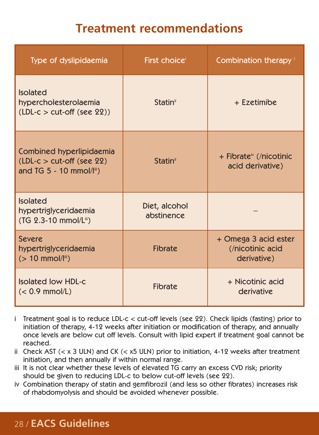### **Treatment recommendations**

| Type of dyslipidaemia                                                                               | First choice <sup>®</sup>   | Combination therapy '                                   |
|-----------------------------------------------------------------------------------------------------|-----------------------------|---------------------------------------------------------|
| <b>Isolated</b><br>hypercholesterolaemia<br>$(LDL-c > cut-off (see 22))$                            | Statin <sup>®</sup>         | + Ezetimibe                                             |
| Combined hyperlipidaemia<br>$(LDL-c > cut-off$ (see 22)<br>and $TG 5 - 10$ mmol/ $I^{\text{III}}$ ) | Statin <sup>®</sup>         | + Fibrate <sup>*</sup> (/nicotinic<br>acid derivative)  |
| <b>Isolated</b><br>hypertriglyceridaemia<br>(TG 2.3-10 mmol/Lii)                                    | Diet, alcohol<br>abstinence |                                                         |
| Severe<br>hypertriglyceridaemia<br>$(> 10$ mmol/ $\vert\mathbb{I}^{\mathbb{I}}\vert$                | <b>Fibrate</b>              | + Omega 3 acid ester<br>(/nicotinic acid<br>derivative) |
| Isolated low HDL-c<br>$(< 0.9$ mmol/L)                                                              | <b>Fibrate</b>              | + Nicotinic acid<br>derivative                          |

- i Treatment goal is to reduce LDL-c < cut-off levels (see 22). Check lipids (fasting) prior to initiation of therapy, 4-12 weeks after initiation or modification of therapy, and annually once levels are below cut off levels. Consult with lipid expert if treatment goal cannot be reached.
- ii Check AST  $(< x 3$  ULN) and CK  $(< x 5$  ULN) prior to initiation, 4-12 weeks after treatment initiation, and then annually if within normal range.
- iii It is not clear whether these levels of elevated TG carry an excess CVD risk; priority should be given to reducing LDL-c to below cut-off levels (see 22).
- iv Combination therapy of statin and gemfibrozil (and less so other fibrates) increases risk of rhabdomyolysis and should be avoided whenever possible.

### 28 / **EACS Guidelines**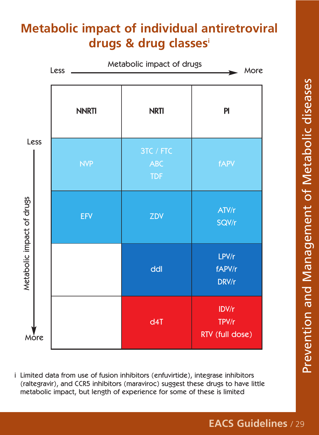## **Metabolic impact of individual antiretroviral drugs & drug classesi**



i Limited data from use of fusion inhibitors (enfuvirtide), integrase inhibitors (raltegravir), and CCR5 inhibitors (maraviroc) suggest these drugs to have little metabolic impact, but length of experience for some of these is limited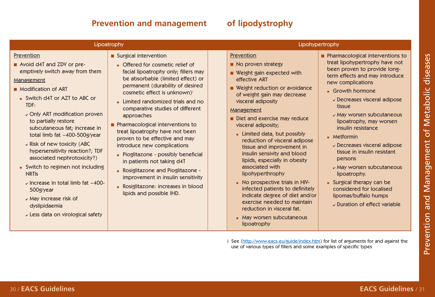### **Prevention and management of lipodystrophy**

|                                                                                                                                                                                                                                                                                                                                                                                                                                                                                                                                                                                                  | Lipoatrophy                                                                                                                                                                                                                                                                                                                                                                                                                                                                                                                                                                                                                                                    | Lipohypertrophy                                                                                                                                                                                                                                                                                                                                                                                                                                                                                                                                                                                                                                                     |                                                                                                                                                                                                                                                                                                                                                                                                                                                                                                                                                                          |  |  |  |
|--------------------------------------------------------------------------------------------------------------------------------------------------------------------------------------------------------------------------------------------------------------------------------------------------------------------------------------------------------------------------------------------------------------------------------------------------------------------------------------------------------------------------------------------------------------------------------------------------|----------------------------------------------------------------------------------------------------------------------------------------------------------------------------------------------------------------------------------------------------------------------------------------------------------------------------------------------------------------------------------------------------------------------------------------------------------------------------------------------------------------------------------------------------------------------------------------------------------------------------------------------------------------|---------------------------------------------------------------------------------------------------------------------------------------------------------------------------------------------------------------------------------------------------------------------------------------------------------------------------------------------------------------------------------------------------------------------------------------------------------------------------------------------------------------------------------------------------------------------------------------------------------------------------------------------------------------------|--------------------------------------------------------------------------------------------------------------------------------------------------------------------------------------------------------------------------------------------------------------------------------------------------------------------------------------------------------------------------------------------------------------------------------------------------------------------------------------------------------------------------------------------------------------------------|--|--|--|
| Prevention<br>Avoid d4T and ZDV or pre-<br>emptively switch away from them<br>Management<br>Modification of ART<br>• Switch d4T or AZT to ABC or<br>TDF:<br>$\sim$ Only ART modification proven<br>to partially restore<br>subcutaneous fat; increase in<br>total limb fat ~400-500g/year<br>v Risk of new toxicity (ABC<br>hypersensitivity reaction?; TDF<br>associated nephrotoxicity?)<br>• Switch to regimen not including<br><b>NRTIS</b><br>$\sim$ Increase in total limb fat $\sim$ 400-<br>500g/year<br>$\sim$ May increase risk of<br>dyslipidaemia<br>Less data on virological safety | Surgical intervention<br>• Offered for cosmetic relief of<br>facial lipoatrophy only; fillers may<br>be absorbable (limited effect) or<br>permanent (durability of desired<br>cosmetic effect is unknown)<br>• Limited randomized trials and no<br>comparative studies of different<br>approaches<br>Pharmacological interventions to<br>treat lipoatrophy have not been<br>proven to be effective and may<br>introduce new complications<br>• Pioglitazone - possibly beneficial<br>in patients not taking d4T<br>• Rosiglitazone and Pioglitazone -<br>improvement in insulin sensitivity<br>• Rosiglitazone: increases in blood<br>lipids and possible IHD. | Prevention<br>No proven strategy<br>■ Weight gain expected with<br>effective ART<br>■ Weight reduction or avoidance<br>of weight gain may decrease<br>visceral adiposity<br>Management<br>Diet and exercise may reduce<br>visceral adiposity;<br>• Limited data, but possibly<br>reduction of visceral adipose<br>tissue and improvement in<br>insulin sensivity and blood<br>lipids, especially in obesity<br>associated with<br>lipohyperthrophy<br>• No prospective trials in HIV-<br>infected patients to definitely<br>indicate degree of diet and/or<br>exercise needed to maintain<br>reduction in visceral fat.<br>• May worsen subcutaneous<br>lipoatrophy | Pharmacological interventions to<br>treat lipohypertrophy have not<br>been proven to provide long-<br>term effects and may introduce<br>new complications<br>• Growth hormone<br>$\nu$ Decreases visceral adipose<br>tissue<br>v May worsen subcutaneous<br>lipoatrophy, may worsen<br>insulin resistance<br>• Metformin<br>$\nu$ Decreases visceral adipose<br>tissue in insulin resistant<br>persons<br>$\nu$ May worsen subcutaneous<br>lipoatrophy.<br>• Surgical therapy can be<br>considered for localised<br>lipomas/buffalo humps<br>Duration of effect variable |  |  |  |
|                                                                                                                                                                                                                                                                                                                                                                                                                                                                                                                                                                                                  |                                                                                                                                                                                                                                                                                                                                                                                                                                                                                                                                                                                                                                                                | use of various types of fillers and some examples of specific types                                                                                                                                                                                                                                                                                                                                                                                                                                                                                                                                                                                                 | See (http://www.eacs.eu/guide/index.htm) for list of arguments for and against the                                                                                                                                                                                                                                                                                                                                                                                                                                                                                       |  |  |  |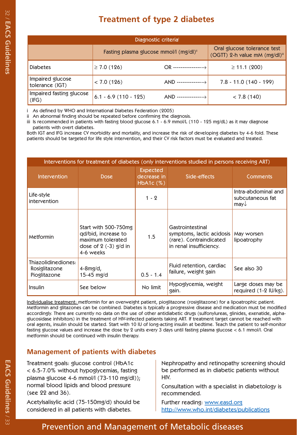| Diagnostic criteria <sup>i</sup>    |                                        |                                                                          |                          |  |  |  |  |  |
|-------------------------------------|----------------------------------------|--------------------------------------------------------------------------|--------------------------|--|--|--|--|--|
|                                     | Fasting plasma glucose mmol/l (mg/dl)" | Oral glucose tolerance test<br>(OGTT) 2-h value mM (mg/dl) <sup>ii</sup> |                          |  |  |  |  |  |
| <b>Diabetes</b>                     | $\geq 7.0$ (126)                       | OR ----------------                                                      | $\geq$ 11.1 (200)        |  |  |  |  |  |
| Impaired glucose<br>tolerance (IGT) | < 7.0(126)                             | AND --------------                                                       | $7.8 - 11.0$ (140 - 199) |  |  |  |  |  |
| Impaired fasting glucose<br>(IFG)   | $6.1 - 6.9(110 - 125)$                 | AND --------------                                                       | < 7.8(140)               |  |  |  |  |  |

|                                                      |                                                                                                                                                                                                                                                                                                                                                                                                                                                                                                                                                                                                                                                                                                                                                                                                                                                                             | Diagnostic criteria <sup>i</sup>                                                                      |                                                                                                     |  |                                                                                                                                                  |  |
|------------------------------------------------------|-----------------------------------------------------------------------------------------------------------------------------------------------------------------------------------------------------------------------------------------------------------------------------------------------------------------------------------------------------------------------------------------------------------------------------------------------------------------------------------------------------------------------------------------------------------------------------------------------------------------------------------------------------------------------------------------------------------------------------------------------------------------------------------------------------------------------------------------------------------------------------|-------------------------------------------------------------------------------------------------------|-----------------------------------------------------------------------------------------------------|--|--------------------------------------------------------------------------------------------------------------------------------------------------|--|
|                                                      |                                                                                                                                                                                                                                                                                                                                                                                                                                                                                                                                                                                                                                                                                                                                                                                                                                                                             | Oral glucose tolerance test<br>Fasting plasma glucose mmol/l (mg/dl)"<br>(OGTT) 2-h value mM (mg/dl)" |                                                                                                     |  |                                                                                                                                                  |  |
| <b>Diabetes</b>                                      | $\geq 7.0$ (126)                                                                                                                                                                                                                                                                                                                                                                                                                                                                                                                                                                                                                                                                                                                                                                                                                                                            |                                                                                                       | $OR$ ----------------- $\rightarrow$                                                                |  | $\geq$ 11.1 (200)                                                                                                                                |  |
| Impaired glucose<br>tolerance (IGT)                  | < 7.0 (126)                                                                                                                                                                                                                                                                                                                                                                                                                                                                                                                                                                                                                                                                                                                                                                                                                                                                 |                                                                                                       | $AND$ ------------------>                                                                           |  | $7.8 - 11.0$ (140 - 199)                                                                                                                         |  |
| Impaired fasting glucose<br>(IFG)                    | $6.1 - 6.9$ (110 - 125)                                                                                                                                                                                                                                                                                                                                                                                                                                                                                                                                                                                                                                                                                                                                                                                                                                                     |                                                                                                       | AND ---------------->                                                                               |  | < 7.8(140)                                                                                                                                       |  |
| patients with overt diabetes.                        | ii An abnormal finding should be repeated before confirming the diagnosis.<br>iii Is recommended in patients with fasting blood glucose 6.1 - 6.9 mmol/L (110 - 125 mg/dL) as it may diagnose<br>Both IGT and IFG increase CV morbidity and mortality, and increase the risk of developing diabetes by 4-6 fold. These<br>patients should be targeted for life style intervention, and their CV risk factors must be evaluated and treated.<br>Interventions for treatment of diabetes (only interventions studied in persons receiving ART)                                                                                                                                                                                                                                                                                                                                |                                                                                                       |                                                                                                     |  |                                                                                                                                                  |  |
| <b>Intervention</b>                                  | <b>Dose</b>                                                                                                                                                                                                                                                                                                                                                                                                                                                                                                                                                                                                                                                                                                                                                                                                                                                                 | <b>Expected</b><br>decrease in<br>HbA1c(%)                                                            | Side-effects                                                                                        |  | Comments                                                                                                                                         |  |
| Life-style<br>intervention                           |                                                                                                                                                                                                                                                                                                                                                                                                                                                                                                                                                                                                                                                                                                                                                                                                                                                                             | $1 - 2$                                                                                               |                                                                                                     |  | Intra-abdominal and<br>subcutaneous fat<br>$may\downarrow$                                                                                       |  |
| Metformin                                            | Start with 500-750mg<br>qd/bid, increase to<br>maximum tolerated<br>dose of $2$ (-3) $g/d$ in<br>4-6 weeks                                                                                                                                                                                                                                                                                                                                                                                                                                                                                                                                                                                                                                                                                                                                                                  |                                                                                                       | Gastrointestinal<br>symptoms, lactic acidosis<br>(rare). Contraindicated<br>in renal insufficiency. |  | May worsen<br>lipoatrophy                                                                                                                        |  |
| Thiazolidinediones:<br>Rosiglitazone<br>Pioglitazone | $4-8mg/d,$<br>$15-45$ mg/d                                                                                                                                                                                                                                                                                                                                                                                                                                                                                                                                                                                                                                                                                                                                                                                                                                                  | $0.5 - 1.4$                                                                                           | Fluid retention, cardiac<br>failure, weight gain                                                    |  | See also 30                                                                                                                                      |  |
|                                                      |                                                                                                                                                                                                                                                                                                                                                                                                                                                                                                                                                                                                                                                                                                                                                                                                                                                                             | No limit                                                                                              | Hypoglycemia, weight                                                                                |  | Large doses may be                                                                                                                               |  |
| Insulin                                              | See below                                                                                                                                                                                                                                                                                                                                                                                                                                                                                                                                                                                                                                                                                                                                                                                                                                                                   |                                                                                                       | gain.                                                                                               |  | required (1-2 IU/kg).                                                                                                                            |  |
|                                                      | Individualise treatment: metformin for an overweight patient, pioglitazone (rosiglitazone) for a lipoatrophic patient.<br>Metformin and glitazones can be combined. Diabetes is typically a progressive disease and medication must be modified<br>accordingly. There are currently no data on the use of other antidiabetic drugs (sulfonylureas, glinides, exenatide, alpha-<br>glucosidase inhibitors) in the treatment of HIV-infected patients taking ART. If treatment target cannot be reached with<br>oral agents, insulin should be started. Start with 10 IU of long-acting insulin at bedtime. Teach the patient to self-monitor<br>fasting glucose values and increase the dose by 2 units every 3 days until fasting plasma glucose $< 6.1$ mmol/l. Oral<br>metformin should be continued with insulin therapy.<br><b>Management of patients with diabetes</b> |                                                                                                       |                                                                                                     |  |                                                                                                                                                  |  |
|                                                      | Treatment goals: glucose control (HbA1c<br>< 6.5-7.0% without hypoglycemias, fasting<br>plasma glucose 4-6 mmol/l (73-110 mg/dl));<br>normal blood lipids and blood pressure                                                                                                                                                                                                                                                                                                                                                                                                                                                                                                                                                                                                                                                                                                | hiv.                                                                                                  |                                                                                                     |  | Nephropathy and retinopathy screening should<br>be performed as in diabetic patients without<br>Consultation with a specialist in diabetology is |  |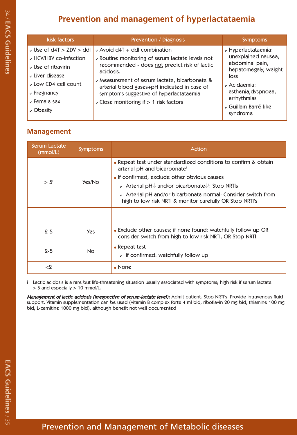| <b>Risk factors</b>                                                                                                                                                                                                      | Prevention / Diagnosis                                                                                                                                                                                                                                                                                                                            | <b>Symptoms</b>                                                                                                                                                                                                   |
|--------------------------------------------------------------------------------------------------------------------------------------------------------------------------------------------------------------------------|---------------------------------------------------------------------------------------------------------------------------------------------------------------------------------------------------------------------------------------------------------------------------------------------------------------------------------------------------|-------------------------------------------------------------------------------------------------------------------------------------------------------------------------------------------------------------------|
| $\checkmark$ Use of d4T $>$ ZDV $>$ ddl<br>HCV/HBV co-infection<br>$\overline{v}$ Use of ribavirin<br>$\overline{\nu}$ Liver disease<br>Low CD4 cell count<br>$\sim$ Pregnancy<br>$\overline{V}$ Female sex<br>√ Obesity | $\sim$ Avoid d4T + ddl combination<br>v Routine monitoring of serum lactate levels not<br>recommended - does not predict risk of lactic<br>acidosis.<br>v Measurement of serum lactate, bicarbonate &<br>arterial blood gases+pH indicated in case of<br>symptoms suggestive of hyperlactataemia<br>$\sim$ Close monitoring if $> 1$ risk factors | $\nu$ Hyperlactataemia:<br>unexplained nausea,<br>abdominal pain,<br>hepatomegaly, weight<br>loss<br>$\overline{\phantom{a}}$ Acidaemia:<br>asthenia, dyspnoea,<br>arrhythmias<br>Guillain-Barré-like<br>syndrome |

| $\checkmark$ Use of d4T > ZDV > ddl<br>$\sim$ Avoid d4T + ddl combination<br>$\nu$ HCV/HBV co-infection<br>↓ Routine monitoring of serum lactate levels not<br>recommended - does not predict risk of lactic<br>$\overline{v}$ Use of ribavirin<br>acidosis.<br>$\overline{\nu}$ Liver disease<br>loss<br>v Measurement of serum lactate, bicarbonate &<br>Low CD4 cell count<br>$\overline{\mathcal{C}}$ Acidaemia:<br>arterial blood gases+pH indicated in case of<br>$\sqrt{\frac{3}{2}}$ Pregnancy<br>symptoms suggestive of hyperlactataemia<br>arrhythmias<br>$\overline{V}$ Female sex<br>$\sim$ Close monitoring if $> 1$ risk factors<br>√ Obesity<br>syndrome<br><b>Management</b><br><b>Serum Lactate</b><br><b>Symptoms</b><br><b>Action</b><br>(mmol/L)<br>• Repeat test under standardized conditions to confirm & obtain<br>arterial pH and bicarbonate<br>• If confirmed, exclude other obvious causes<br>$> 5^{\circ}$<br>Yes/No<br>√ Arterial pH↓ and/or bicarbonate↓: Stop NRTIs<br>$\sim$ Arterial pH and/or bicarbonate normal: Consider switch from<br>high to low risk NRTI & monitor carefully OR Stop NRTI's<br>• Exclude other causes; if none found: watchfully follow up OR<br>$2 - 5$<br>Yes<br>consider switch from high to low risk NRTI, OR Stop NRTI<br>• Repeat test<br>$2 - 5$<br>No<br>$\overline{v}$ if confirmed: watchfully follow up<br>$<$ 2<br>$\bullet$ None<br>> 5 and especially > 10 mmol/L. | <b>Risk factors</b> |  | Prevention / Diagnosis | Symptoms                                                                                                                                                    |
|--------------------------------------------------------------------------------------------------------------------------------------------------------------------------------------------------------------------------------------------------------------------------------------------------------------------------------------------------------------------------------------------------------------------------------------------------------------------------------------------------------------------------------------------------------------------------------------------------------------------------------------------------------------------------------------------------------------------------------------------------------------------------------------------------------------------------------------------------------------------------------------------------------------------------------------------------------------------------------------------------------------------------------------------------------------------------------------------------------------------------------------------------------------------------------------------------------------------------------------------------------------------------------------------------------------------------------------------------------------------------------------------------------------------------------------------|---------------------|--|------------------------|-------------------------------------------------------------------------------------------------------------------------------------------------------------|
|                                                                                                                                                                                                                                                                                                                                                                                                                                                                                                                                                                                                                                                                                                                                                                                                                                                                                                                                                                                                                                                                                                                                                                                                                                                                                                                                                                                                                                            |                     |  |                        | $\overline{\phantom{a}}$ Hyperlactataemia:<br>unexplained nausea,<br>abdominal pain,<br>hepatomegaly, weight<br>asthenia, dyspnoea,<br>√Guillain-Barré-like |
|                                                                                                                                                                                                                                                                                                                                                                                                                                                                                                                                                                                                                                                                                                                                                                                                                                                                                                                                                                                                                                                                                                                                                                                                                                                                                                                                                                                                                                            |                     |  |                        |                                                                                                                                                             |
|                                                                                                                                                                                                                                                                                                                                                                                                                                                                                                                                                                                                                                                                                                                                                                                                                                                                                                                                                                                                                                                                                                                                                                                                                                                                                                                                                                                                                                            |                     |  |                        |                                                                                                                                                             |
|                                                                                                                                                                                                                                                                                                                                                                                                                                                                                                                                                                                                                                                                                                                                                                                                                                                                                                                                                                                                                                                                                                                                                                                                                                                                                                                                                                                                                                            |                     |  |                        |                                                                                                                                                             |
| i Lactic acidosis is a rare but life-threatening situation usually associated with symptoms; high risk if serum lactate<br>Management of lactic acidosis (irrespective of serum-lactate level): Admit patient. Stop NRTI's. Provide intravenous fluid<br>support. Vitamin supplementation can be used (vitamin B complex forte 4 ml bid, riboflavin 20 mg bid, thiamine 100 mg<br>bid; L-carnitine 1000 mg bid), although benefit not well documented                                                                                                                                                                                                                                                                                                                                                                                                                                                                                                                                                                                                                                                                                                                                                                                                                                                                                                                                                                                      |                     |  |                        |                                                                                                                                                             |
|                                                                                                                                                                                                                                                                                                                                                                                                                                                                                                                                                                                                                                                                                                                                                                                                                                                                                                                                                                                                                                                                                                                                                                                                                                                                                                                                                                                                                                            |                     |  |                        |                                                                                                                                                             |
|                                                                                                                                                                                                                                                                                                                                                                                                                                                                                                                                                                                                                                                                                                                                                                                                                                                                                                                                                                                                                                                                                                                                                                                                                                                                                                                                                                                                                                            |                     |  |                        |                                                                                                                                                             |
|                                                                                                                                                                                                                                                                                                                                                                                                                                                                                                                                                                                                                                                                                                                                                                                                                                                                                                                                                                                                                                                                                                                                                                                                                                                                                                                                                                                                                                            |                     |  |                        |                                                                                                                                                             |
|                                                                                                                                                                                                                                                                                                                                                                                                                                                                                                                                                                                                                                                                                                                                                                                                                                                                                                                                                                                                                                                                                                                                                                                                                                                                                                                                                                                                                                            |                     |  |                        |                                                                                                                                                             |
|                                                                                                                                                                                                                                                                                                                                                                                                                                                                                                                                                                                                                                                                                                                                                                                                                                                                                                                                                                                                                                                                                                                                                                                                                                                                                                                                                                                                                                            |                     |  |                        |                                                                                                                                                             |
|                                                                                                                                                                                                                                                                                                                                                                                                                                                                                                                                                                                                                                                                                                                                                                                                                                                                                                                                                                                                                                                                                                                                                                                                                                                                                                                                                                                                                                            |                     |  |                        |                                                                                                                                                             |
|                                                                                                                                                                                                                                                                                                                                                                                                                                                                                                                                                                                                                                                                                                                                                                                                                                                                                                                                                                                                                                                                                                                                                                                                                                                                                                                                                                                                                                            |                     |  |                        |                                                                                                                                                             |
|                                                                                                                                                                                                                                                                                                                                                                                                                                                                                                                                                                                                                                                                                                                                                                                                                                                                                                                                                                                                                                                                                                                                                                                                                                                                                                                                                                                                                                            |                     |  |                        |                                                                                                                                                             |
|                                                                                                                                                                                                                                                                                                                                                                                                                                                                                                                                                                                                                                                                                                                                                                                                                                                                                                                                                                                                                                                                                                                                                                                                                                                                                                                                                                                                                                            |                     |  |                        |                                                                                                                                                             |
|                                                                                                                                                                                                                                                                                                                                                                                                                                                                                                                                                                                                                                                                                                                                                                                                                                                                                                                                                                                                                                                                                                                                                                                                                                                                                                                                                                                                                                            |                     |  |                        |                                                                                                                                                             |
|                                                                                                                                                                                                                                                                                                                                                                                                                                                                                                                                                                                                                                                                                                                                                                                                                                                                                                                                                                                                                                                                                                                                                                                                                                                                                                                                                                                                                                            |                     |  |                        |                                                                                                                                                             |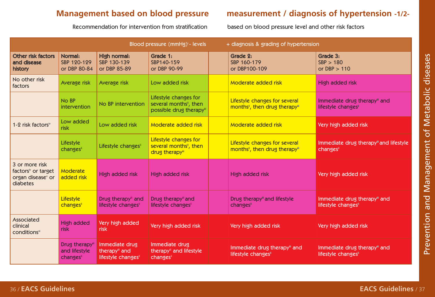Recommendation for intervention from stratification based on blood pressure level and other risk factors

## **Management based on blood pressure measurement / diagnosis of hypertension -1/2-**

| Blood pressure (mmHg) <sup>1</sup> - levels<br>+ diagnosis & grading of hypertension          |                                             |                                                        |                                                                                        |  |                                                                |                                                    |  |
|-----------------------------------------------------------------------------------------------|---------------------------------------------|--------------------------------------------------------|----------------------------------------------------------------------------------------|--|----------------------------------------------------------------|----------------------------------------------------|--|
| Other risk factors<br>and disease<br>history                                                  | Normal:<br>SBP 120-129<br>or DBP 80-84      | High normal:<br>SBP 130-139<br>or DBP 85-89            | Grade 1:<br>SBP140-159<br>or DBP 90-99                                                 |  | Grade 2:<br>SBP 160-179<br>or DBP100-109                       | Grade 3:<br>SBP > 180<br>or $DBP > 110$            |  |
| No other risk<br>factors                                                                      | Average risk                                | Average risk                                           | Low added risk                                                                         |  | Moderate added risk                                            | High added risk                                    |  |
|                                                                                               | No BP<br>intervention                       | No BP intervention                                     | Lifestyle changes for<br>several months <sup>it</sup> , then<br>possible drug therapy" |  | Lifestyle changes for several<br>months", then drug therapy"   | Immediate drug therapy" and<br>lifestyle changes"  |  |
| 1-2 risk factors <sup>iv</sup>                                                                | Low added<br>risk                           | Low added risk                                         | Moderate added risk                                                                    |  | Moderate added risk                                            | Very high added risk                               |  |
|                                                                                               | Lifestyle<br>changes                        | Lifestyle changes"                                     | Lifestyle changes for<br>several months <sup>"</sup> , then<br>drug therapy"           |  | Lifestyle changes for several<br>months", then drug therapy"   | Immediate drug therapyill and lifestyle<br>changes |  |
| 3 or more risk<br>factors <sup>*</sup> or target<br>organ disease <sup>v</sup> or<br>diabetes | <b>Moderate</b><br>added risk               | High added risk                                        | High added risk                                                                        |  | High added risk                                                | Very high added risk                               |  |
|                                                                                               | Lifestyle<br>changes                        | Drug therapyii and<br>lifestyle changes"               | Drug therapyill and<br>lifestyle changes"                                              |  | Drug therapy" and lifestyle<br>changesii                       | Immediate drug therapy" and<br>lifestyle changes"  |  |
| Associated<br>clinical<br>conditions <sup>vi</sup>                                            | High added<br>risk                          | Very high added<br>risk                                | Very high added risk                                                                   |  | Very high added risk                                           | Very high added risk                               |  |
|                                                                                               | Drug therapyii<br>and lifestyle<br>changesi | Immediate drug<br>therapyili and<br>lifestyle changes" | Immediate drug<br>therapy" and lifestyle<br>changesi                                   |  | Immediate drug therapyii and<br>lifestyle changes <sup>"</sup> | Immediate drug therapy" and<br>lifestyle changes"  |  |